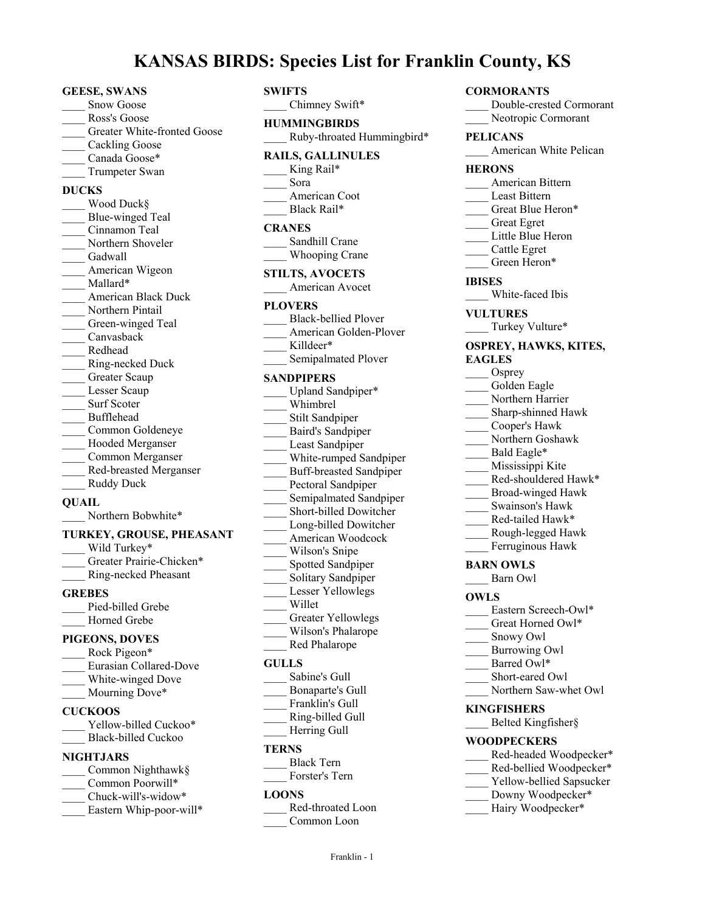# **KANSAS BIRDS: Species List for Franklin County, KS**

#### **GEESE, SWANS**

- Snow Goose
- Ross's Goose
- Greater White-fronted Goose
- Cackling Goose
- Canada Goose\*
- Trumpeter Swan

#### **DUCKS**

Wood Duck§ Blue-winged Teal \_\_\_\_ Cinnamon Teal Northern Shoveler Gadwall American Wigeon Mallard\* \_\_\_\_ American Black Duck Northern Pintail Green-winged Teal \_\_\_\_ Canvasback \_\_\_\_ Redhead \_\_\_\_ Ring-necked Duck Greater Scaup Lesser Scaup Surf Scoter \_\_\_\_ Bufflehead \_\_\_\_ Common Goldeneye Hooded Merganser \_\_\_\_ Common Merganser \_\_\_\_ Red-breasted Merganser Ruddy Duck

#### **QUAIL**

Northern Bobwhite\*

#### **TURKEY, GROUSE, PHEASANT**

| Wild Turkey*             |
|--------------------------|
| Greater Prairie-Chicken* |
| Ring-necked Pheasant     |

#### **GREBES**

Pied-billed Grebe Horned Grebe

# **PIGEONS, DOVES**

Rock Pigeon\* \_\_\_\_ Eurasian Collared-Dove White-winged Dove Mourning Dove\*

#### **CUCKOOS**

Yellow-billed Cuckoo\* \_\_\_\_ Black-billed Cuckoo

#### **NIGHTJARS**

- \_\_\_\_ Common Nighthawk§
- Common Poorwill\*
- \_\_\_\_ Chuck-will's-widow\*
- Eastern Whip-poor-will\*

# **SWIFTS**

Chimney Swift\* **HUMMINGBIRDS** Ruby-throated Hummingbird\* **RAILS, GALLINULES** King Rail\* \_\_\_\_ Sora American Coot Black Rail\* **CRANES** Sandhill Crane Whooping Crane **STILTS, AVOCETS** American Avocet **PLOVERS** \_\_\_\_ Black-bellied Plover \_\_\_\_ American Golden-Plover Killdeer\* Semipalmated Plover **SANDPIPERS** Upland Sandpiper\* \_\_\_\_ Whimbrel Stilt Sandpiper \_\_\_\_ Baird's Sandpiper Least Sandpiper White-rumped Sandpiper \_\_\_\_ Buff-breasted Sandpiper Pectoral Sandpiper Semipalmated Sandpiper \_\_\_\_ Short-billed Dowitcher Long-billed Dowitcher \_\_\_\_ American Woodcock \_\_\_\_ Wilson's Snipe Spotted Sandpiper Solitary Sandpiper Lesser Yellowlegs \_\_\_\_ Willet Greater Yellowlegs Wilson's Phalarope Red Phalarope **GULLS** Sabine's Gull

- \_\_\_\_ Bonaparte's Gull Franklin's Gull
- \_\_\_\_ Ring-billed Gull
- Herring Gull

#### **TERNS**

\_\_\_\_ Black Tern \_\_\_\_ Forster's Tern

#### **LOONS**

\_\_\_\_ Red-throated Loon Common Loon

# **CORMORANTS** \_\_\_\_ Double-crested Cormorant Neotropic Cormorant **PELICANS** American White Pelican **HERONS** \_\_\_\_ American Bittern Least Bittern Great Blue Heron\* \_\_\_\_ Great Egret Little Blue Heron \_\_\_\_ Cattle Egret Green Heron\* **IBISES** White-faced Ibis **VULTURES** \_\_\_\_ Turkey Vulture\* **OSPREY, HAWKS, KITES, EAGLES** Osprey Golden Eagle Northern Harrier Sharp-shinned Hawk \_\_\_\_ Cooper's Hawk \_\_\_\_ Northern Goshawk Bald Eagle\* Mississippi Kite Red-shouldered Hawk\* \_\_\_\_ Broad-winged Hawk \_\_\_\_ Swainson's Hawk Red-tailed Hawk\* \_\_\_\_ Rough-legged Hawk Ferruginous Hawk **BARN OWLS** \_\_\_\_ Barn Owl **OWLS**

- Eastern Screech-Owl\*
- Great Horned Owl\*
- Snowy Owl
- \_\_\_\_ Burrowing Owl
- Barred Owl\*
- Short-eared Owl
- Northern Saw-whet Owl

#### **KINGFISHERS**

\_\_\_\_ Belted Kingfisher§

#### **WOODPECKERS**

- Red-headed Woodpecker\*
- Red-bellied Woodpecker\*
- Yellow-bellied Sapsucker Downy Woodpecker\*
- 
- Hairy Woodpecker\*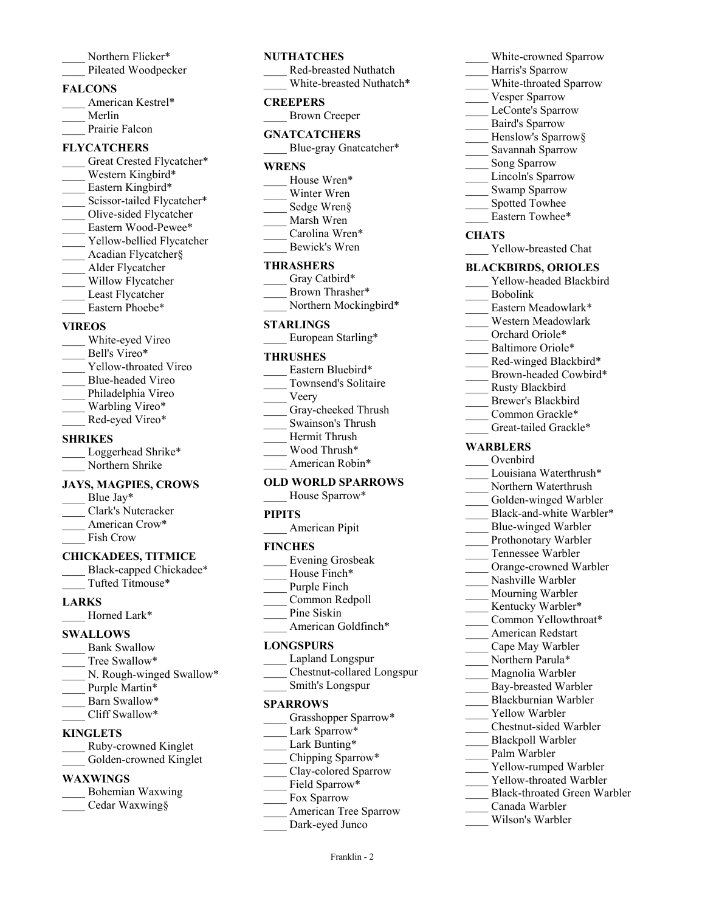| Northern Flicker*   |
|---------------------|
| Dilasted Weednaalta |

\_\_\_\_ Pileated Woodpecker

#### **FALCONS**

American Kestrel\* \_\_\_\_ Merlin Prairie Falcon

#### **FLYCATCHERS**

Great Crested Flycatcher\* Western Kingbird\* Eastern Kingbird\* Scissor-tailed Flycatcher\* \_\_\_\_ Olive-sided Flycatcher Eastern Wood-Pewee\* \_\_\_\_ Yellow-bellied Flycatcher \_\_\_\_ Acadian Flycatcher§ \_\_\_\_ Alder Flycatcher Willow Flycatcher Least Flycatcher Eastern Phoebe\*

#### **VIREOS**

White-eyed Vireo Bell's Vireo\* Yellow-throated Vireo \_\_\_\_ Blue-headed Vireo Philadelphia Vireo Warbling Vireo\* Red-eyed Vireo\*

#### **SHRIKES**

| Loggerhead Shrike* |
|--------------------|
| Northern Shrike    |

#### **JAYS, MAGPIES, CROWS**

- Blue Jay\* \_\_\_\_ Clark's Nutcracker
- American Crow\* \_\_\_\_ Fish Crow

# **CHICKADEES, TITMICE**

Black-capped Chickadee\* \_\_\_\_ Tufted Titmouse\*

#### **LARKS**

Horned Lark\*

#### **SWALLOWS**

- Bank Swallow
- Tree Swallow\*
- N. Rough-winged Swallow\*
- Purple Martin\*
- Barn Swallow\*
- \_\_\_\_ Cliff Swallow\*

# **KINGLETS**

\_\_\_\_ Ruby-crowned Kinglet Golden-crowned Kinglet

# **WAXWINGS**

- \_\_\_\_ Bohemian Waxwing
- \_\_\_\_ Cedar Waxwing§

# **NUTHATCHES**

|                 | Red-breasted Nuthatch    |
|-----------------|--------------------------|
|                 | White-breasted Nuthatch* |
| <b>CREEPERS</b> |                          |
|                 | <b>Brown Creeper</b>     |

#### **GNATCATCHERS**

Blue-gray Gnatcatcher\*

#### **WRENS**

- House Wren\* Winter Wren
- Sedge Wren§
- \_\_\_\_ Marsh Wren
- Carolina Wren\*
- \_\_\_\_ Bewick's Wren

#### **THRASHERS**

- Gray Catbird\*
- Brown Thrasher\*
- Northern Mockingbird\*

#### **STARLINGS**

\_\_\_\_ European Starling\*

#### **THRUSHES**

Eastern Bluebird\* \_\_\_\_ Townsend's Solitaire \_\_\_\_ Veery Gray-cheeked Thrush \_\_\_\_ Swainson's Thrush \_\_\_\_ Hermit Thrush \_\_\_\_ Wood Thrush\* American Robin\*

#### **OLD WORLD SPARROWS**

House Sparrow\*

#### **PIPITS**

\_\_\_\_ American Pipit

# **FINCHES**

- \_\_\_\_ Evening Grosbeak House Finch\*
- Purple Finch
- \_\_\_\_ Common Redpoll
- Pine Siskin American Goldfinch\*

#### **LONGSPURS**

\_\_\_\_ Lapland Longspur \_\_\_\_ Chestnut-collared Longspur \_\_\_\_ Smith's Longspur

### **SPARROWS**

- Grasshopper Sparrow\*
- Lark Sparrow\*
- Lark Bunting\*
- \_\_\_\_ Chipping Sparrow\* \_\_\_\_ Clay-colored Sparrow
- Field Sparrow\*
- Fox Sparrow
- American Tree Sparrow

Franklin - 2

Dark-eyed Junco

- White-crowned Sparrow
- \_\_\_\_ Harris's Sparrow
- White-throated Sparrow
- Vesper Sparrow
- LeConte's Sparrow
- \_\_\_\_ Baird's Sparrow
- Henslow's Sparrow§
- \_\_\_\_ Savannah Sparrow
- Song Sparrow
- Lincoln's Sparrow
- Swamp Sparrow
- Spotted Towhee
- Eastern Towhee\*

## **CHATS**

Yellow-breasted Chat

#### **BLACKBIRDS, ORIOLES**

- Yellow-headed Blackbird
- \_\_\_\_ Bobolink
- Eastern Meadowlark\*
- \_\_\_\_ Western Meadowlark
- Orchard Oriole\*
- Baltimore Oriole\*
- Red-winged Blackbird\*
- Brown-headed Cowbird\*
- \_\_\_\_ Rusty Blackbird
- Brewer's Blackbird
- Common Grackle\*
- Great-tailed Grackle\*

#### **WARBLERS**

- \_\_\_\_ Ovenbird Louisiana Waterthrush\*
- 

Black-and-white Warbler\* Blue-winged Warbler Prothonotary Warbler \_\_\_\_ Tennessee Warbler Orange-crowned Warbler Nashville Warbler Mourning Warbler Kentucky Warbler\* Common Yellowthroat\* \_\_\_\_ American Redstart \_\_\_\_ Cape May Warbler Northern Parula\* Magnolia Warbler Bay-breasted Warbler \_\_\_\_ Blackburnian Warbler \_\_\_\_ Yellow Warbler

\_\_\_\_ Chestnut-sided Warbler Blackpoll Warbler Palm Warbler

Yellow-rumped Warbler Yellow-throated Warbler \_\_\_\_ Black-throated Green Warbler

\_\_\_\_ Canada Warbler \_\_\_\_ Wilson's Warbler

Northern Waterthrush Golden-winged Warbler